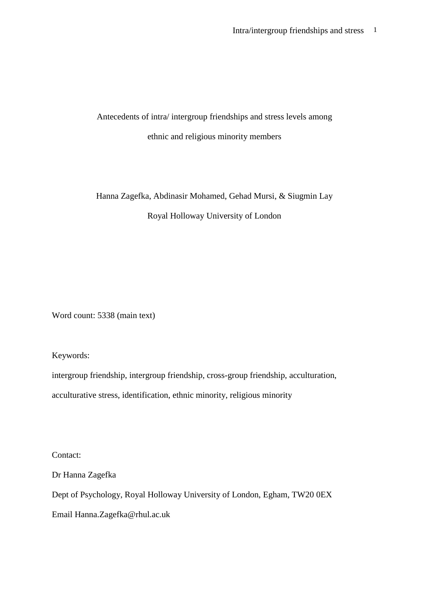# Antecedents of intra/ intergroup friendships and stress levels among ethnic and religious minority members

# Hanna Zagefka, Abdinasir Mohamed, Gehad Mursi, & Siugmin Lay Royal Holloway University of London

Word count: 5338 (main text)

Keywords:

intergroup friendship, intergroup friendship, cross-group friendship, acculturation, acculturative stress, identification, ethnic minority, religious minority

Contact:

Dr Hanna Zagefka

Dept of Psychology, Royal Holloway University of London, Egham, TW20 0EX

Email [Hanna.Zagefka@rhul.ac.uk](mailto:Hanna.Zagefka@rhul.ac.uk)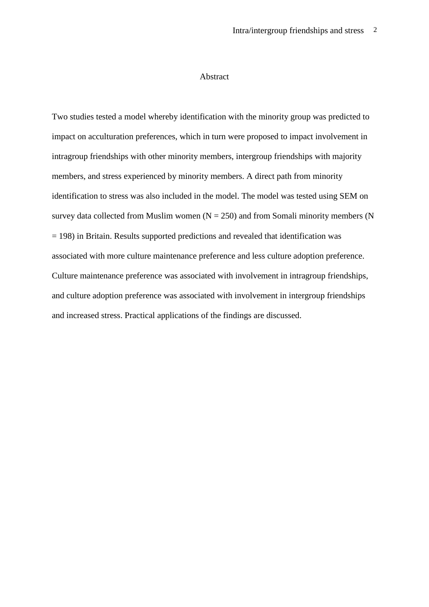#### Abstract

Two studies tested a model whereby identification with the minority group was predicted to impact on acculturation preferences, which in turn were proposed to impact involvement in intragroup friendships with other minority members, intergroup friendships with majority members, and stress experienced by minority members. A direct path from minority identification to stress was also included in the model. The model was tested using SEM on survey data collected from Muslim women  $(N = 250)$  and from Somali minority members (N  $= 198$ ) in Britain. Results supported predictions and revealed that identification was associated with more culture maintenance preference and less culture adoption preference. Culture maintenance preference was associated with involvement in intragroup friendships, and culture adoption preference was associated with involvement in intergroup friendships and increased stress. Practical applications of the findings are discussed.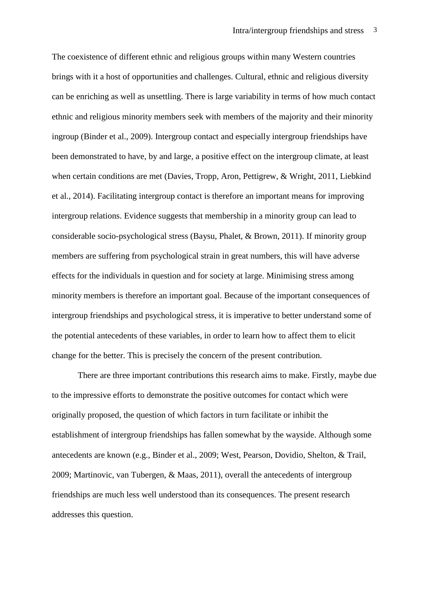The coexistence of different ethnic and religious groups within many Western countries brings with it a host of opportunities and challenges. Cultural, ethnic and religious diversity can be enriching as well as unsettling. There is large variability in terms of how much contact ethnic and religious minority members seek with members of the majority and their minority ingroup (Binder et al., 2009). Intergroup contact and especially intergroup friendships have been demonstrated to have, by and large, a positive effect on the intergroup climate, at least when certain conditions are met (Davies, Tropp, Aron, Pettigrew, & Wright, 2011, Liebkind et al., 2014). Facilitating intergroup contact is therefore an important means for improving intergroup relations. Evidence suggests that membership in a minority group can lead to considerable socio-psychological stress (Baysu, Phalet, & Brown, 2011). If minority group members are suffering from psychological strain in great numbers, this will have adverse effects for the individuals in question and for society at large. Minimising stress among minority members is therefore an important goal. Because of the important consequences of intergroup friendships and psychological stress, it is imperative to better understand some of the potential antecedents of these variables, in order to learn how to affect them to elicit change for the better. This is precisely the concern of the present contribution.

There are three important contributions this research aims to make. Firstly, maybe due to the impressive efforts to demonstrate the positive outcomes for contact which were originally proposed, the question of which factors in turn facilitate or inhibit the establishment of intergroup friendships has fallen somewhat by the wayside. Although some antecedents are known (e.g., Binder et al., 2009; West, Pearson, Dovidio, Shelton, & Trail, 2009; Martinovic, van Tubergen, & Maas, 2011), overall the antecedents of intergroup friendships are much less well understood than its consequences. The present research addresses this question.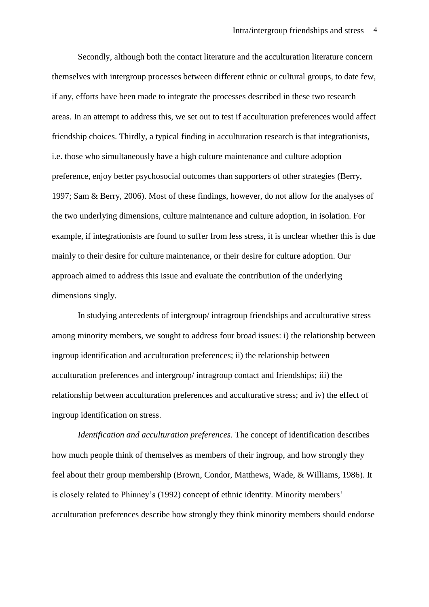Secondly, although both the contact literature and the acculturation literature concern themselves with intergroup processes between different ethnic or cultural groups, to date few, if any, efforts have been made to integrate the processes described in these two research areas. In an attempt to address this, we set out to test if acculturation preferences would affect friendship choices. Thirdly, a typical finding in acculturation research is that integrationists, i.e. those who simultaneously have a high culture maintenance and culture adoption preference, enjoy better psychosocial outcomes than supporters of other strategies (Berry, 1997; Sam & Berry, 2006). Most of these findings, however, do not allow for the analyses of the two underlying dimensions, culture maintenance and culture adoption, in isolation. For example, if integrationists are found to suffer from less stress, it is unclear whether this is due mainly to their desire for culture maintenance, or their desire for culture adoption. Our approach aimed to address this issue and evaluate the contribution of the underlying dimensions singly.

In studying antecedents of intergroup/ intragroup friendships and acculturative stress among minority members, we sought to address four broad issues: i) the relationship between ingroup identification and acculturation preferences; ii) the relationship between acculturation preferences and intergroup/ intragroup contact and friendships; iii) the relationship between acculturation preferences and acculturative stress; and iv) the effect of ingroup identification on stress.

*Identification and acculturation preferences*. The concept of identification describes how much people think of themselves as members of their ingroup, and how strongly they feel about their group membership (Brown, Condor, Matthews, Wade, & Williams, 1986). It is closely related to Phinney's (1992) concept of ethnic identity. Minority members' acculturation preferences describe how strongly they think minority members should endorse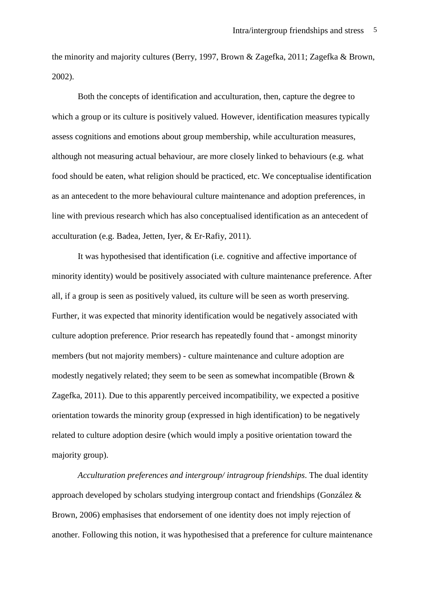the minority and majority cultures (Berry, 1997, Brown & Zagefka, 2011; Zagefka & Brown, 2002).

Both the concepts of identification and acculturation, then, capture the degree to which a group or its culture is positively valued. However, identification measures typically assess cognitions and emotions about group membership, while acculturation measures, although not measuring actual behaviour, are more closely linked to behaviours (e.g. what food should be eaten, what religion should be practiced, etc. We conceptualise identification as an antecedent to the more behavioural culture maintenance and adoption preferences, in line with previous research which has also conceptualised identification as an antecedent of acculturation (e.g. Badea, Jetten, Iyer, & Er‐Rafiy, 2011).

It was hypothesised that identification (i.e. cognitive and affective importance of minority identity) would be positively associated with culture maintenance preference. After all, if a group is seen as positively valued, its culture will be seen as worth preserving. Further, it was expected that minority identification would be negatively associated with culture adoption preference. Prior research has repeatedly found that - amongst minority members (but not majority members) - culture maintenance and culture adoption are modestly negatively related; they seem to be seen as somewhat incompatible (Brown & Zagefka, 2011). Due to this apparently perceived incompatibility, we expected a positive orientation towards the minority group (expressed in high identification) to be negatively related to culture adoption desire (which would imply a positive orientation toward the majority group).

*Acculturation preferences and intergroup/ intragroup friendships*. The dual identity approach developed by scholars studying intergroup contact and friendships (González & Brown, 2006) emphasises that endorsement of one identity does not imply rejection of another. Following this notion, it was hypothesised that a preference for culture maintenance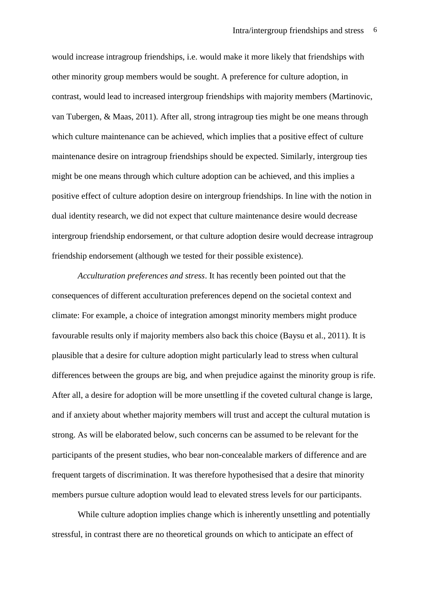would increase intragroup friendships, i.e. would make it more likely that friendships with other minority group members would be sought. A preference for culture adoption, in contrast, would lead to increased intergroup friendships with majority members (Martinovic, van Tubergen, & Maas, 2011). After all, strong intragroup ties might be one means through which culture maintenance can be achieved, which implies that a positive effect of culture maintenance desire on intragroup friendships should be expected. Similarly, intergroup ties might be one means through which culture adoption can be achieved, and this implies a positive effect of culture adoption desire on intergroup friendships. In line with the notion in dual identity research, we did not expect that culture maintenance desire would decrease intergroup friendship endorsement, or that culture adoption desire would decrease intragroup friendship endorsement (although we tested for their possible existence).

*Acculturation preferences and stress*. It has recently been pointed out that the consequences of different acculturation preferences depend on the societal context and climate: For example, a choice of integration amongst minority members might produce favourable results only if majority members also back this choice (Baysu et al., 2011). It is plausible that a desire for culture adoption might particularly lead to stress when cultural differences between the groups are big, and when prejudice against the minority group is rife. After all, a desire for adoption will be more unsettling if the coveted cultural change is large, and if anxiety about whether majority members will trust and accept the cultural mutation is strong. As will be elaborated below, such concerns can be assumed to be relevant for the participants of the present studies, who bear non-concealable markers of difference and are frequent targets of discrimination. It was therefore hypothesised that a desire that minority members pursue culture adoption would lead to elevated stress levels for our participants.

While culture adoption implies change which is inherently unsettling and potentially stressful, in contrast there are no theoretical grounds on which to anticipate an effect of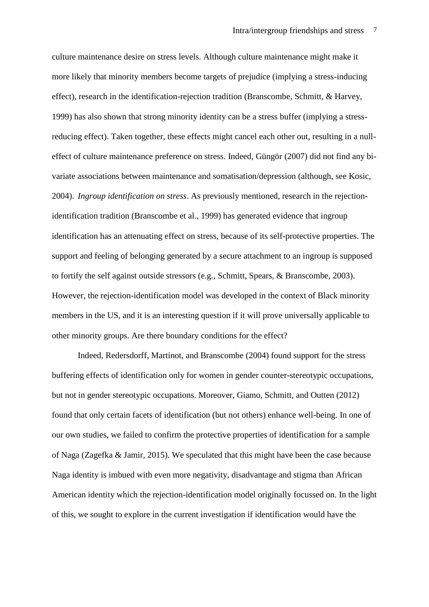culture maintenance desire on stress levels. Although culture maintenance might make it more likely that minority members become targets of prejudice (implying a stress-inducing effect), research in the identification-rejection tradition (Branscombe, Schmitt, & Harvey, 1999) has also shown that strong minority identity can be a stress buffer (implying a stressreducing effect). Taken together, these effects might cancel each other out, resulting in a nulleffect of culture maintenance preference on stress. Indeed, Güngör (2007) did not find any bivariate associations between maintenance and somatisation/depression (although, see Kosic, 2004). *Ingroup identification on stress*. As previously mentioned, research in the rejectionidentification tradition (Branscombe et al., 1999) has generated evidence that ingroup identification has an attenuating effect on stress, because of its self-protective properties. The support and feeling of belonging generated by a secure attachment to an ingroup is supposed to fortify the self against outside stressors (e.g., Schmitt, Spears, & Branscombe, 2003). However, the rejection-identification model was developed in the context of Black minority members in the US, and it is an interesting question if it will prove universally applicable to other minority groups. Are there boundary conditions for the effect?

Indeed, Redersdorff, Martinot, and Branscombe (2004) found support for the stress buffering effects of identification only for women in gender counter-stereotypic occupations, but not in gender stereotypic occupations. Moreover, Giamo, Schmitt, and Outten (2012) found that only certain facets of identification (but not others) enhance well-being. In one of our own studies, we failed to confirm the protective properties of identification for a sample of Naga (Zagefka & Jamir, 2015). We speculated that this might have been the case because Naga identity is imbued with even more negativity, disadvantage and stigma than African American identity which the rejection-identification model originally focussed on. In the light of this, we sought to explore in the current investigation if identification would have the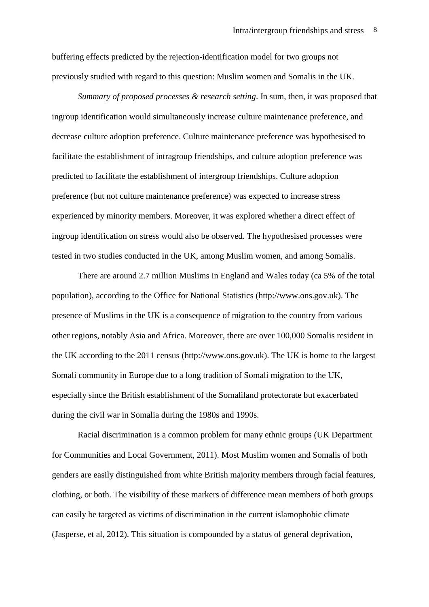buffering effects predicted by the rejection-identification model for two groups not previously studied with regard to this question: Muslim women and Somalis in the UK.

*Summary of proposed processes & research setting*. In sum, then, it was proposed that ingroup identification would simultaneously increase culture maintenance preference, and decrease culture adoption preference. Culture maintenance preference was hypothesised to facilitate the establishment of intragroup friendships, and culture adoption preference was predicted to facilitate the establishment of intergroup friendships. Culture adoption preference (but not culture maintenance preference) was expected to increase stress experienced by minority members. Moreover, it was explored whether a direct effect of ingroup identification on stress would also be observed. The hypothesised processes were tested in two studies conducted in the UK, among Muslim women, and among Somalis.

There are around 2.7 million Muslims in England and Wales today (ca 5% of the total population), according to the Office for National Statistics (http://www.ons.gov.uk). The presence of Muslims in the UK is a consequence of migration to the country from various other regions, notably Asia and Africa. Moreover, there are over 100,000 Somalis resident in the UK according to the 2011 census (http://www.ons.gov.uk). The UK is home to the largest Somali community in Europe due to a long tradition of Somali migration to the UK, especially since the British establishment of the Somaliland protectorate but exacerbated during the civil war in Somalia during the 1980s and 1990s.

Racial discrimination is a common problem for many ethnic groups (UK Department for Communities and Local Government, 2011). Most Muslim women and Somalis of both genders are easily distinguished from white British majority members through facial features, clothing, or both. The visibility of these markers of difference mean members of both groups can easily be targeted as victims of discrimination in the current islamophobic climate (Jasperse, et al, 2012). This situation is compounded by a status of general deprivation,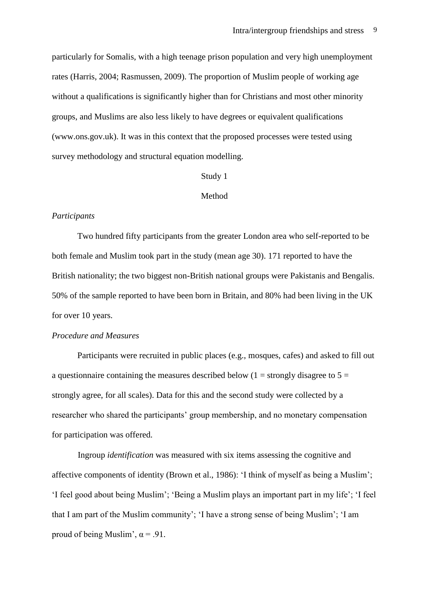particularly for Somalis, with a high teenage prison population and very high unemployment rates (Harris, 2004; Rasmussen, 2009). The proportion of Muslim people of working age without a qualifications is significantly higher than for Christians and most other minority groups, and Muslims are also less likely to have degrees or equivalent qualifications [\(www.ons.gov.uk\)](http://www.ons.gov.uk/). It was in this context that the proposed processes were tested using survey methodology and structural equation modelling.

#### Study 1

#### Method

## *Participants*

Two hundred fifty participants from the greater London area who self-reported to be both female and Muslim took part in the study (mean age 30). 171 reported to have the British nationality; the two biggest non-British national groups were Pakistanis and Bengalis. 50% of the sample reported to have been born in Britain, and 80% had been living in the UK for over 10 years.

## *Procedure and Measures*

Participants were recruited in public places (e.g., mosques, cafes) and asked to fill out a questionnaire containing the measures described below (1 = strongly disagree to  $5 =$ strongly agree, for all scales). Data for this and the second study were collected by a researcher who shared the participants' group membership, and no monetary compensation for participation was offered.

Ingroup *identification* was measured with six items assessing the cognitive and affective components of identity (Brown et al., 1986): 'I think of myself as being a Muslim'; 'I feel good about being Muslim'; 'Being a Muslim plays an important part in my life'; 'I feel that I am part of the Muslim community'; 'I have a strong sense of being Muslim'; 'I am proud of being Muslim',  $\alpha$  = .91.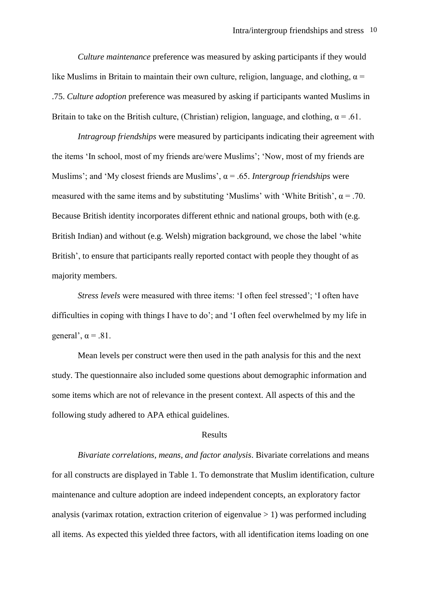*Culture maintenance* preference was measured by asking participants if they would like Muslims in Britain to maintain their own culture, religion, language, and clothing,  $\alpha$  = .75. *Culture adoption* preference was measured by asking if participants wanted Muslims in Britain to take on the British culture, (Christian) religion, language, and clothing,  $\alpha = .61$ .

*Intragroup friendships* were measured by participants indicating their agreement with the items 'In school, most of my friends are/were Muslims'; 'Now, most of my friends are Muslims'; and 'My closest friends are Muslims', α = .65. *Intergroup friendships* were measured with the same items and by substituting 'Muslims' with 'White British',  $\alpha$  = .70. Because British identity incorporates different ethnic and national groups, both with (e.g. British Indian) and without (e.g. Welsh) migration background, we chose the label 'white British', to ensure that participants really reported contact with people they thought of as majority members.

*Stress levels* were measured with three items: 'I often feel stressed'; 'I often have difficulties in coping with things I have to do'; and 'I often feel overwhelmed by my life in general',  $\alpha$  = .81.

Mean levels per construct were then used in the path analysis for this and the next study. The questionnaire also included some questions about demographic information and some items which are not of relevance in the present context. All aspects of this and the following study adhered to APA ethical guidelines.

#### Results

*Bivariate correlations, means, and factor analysis*. Bivariate correlations and means for all constructs are displayed in Table 1. To demonstrate that Muslim identification, culture maintenance and culture adoption are indeed independent concepts, an exploratory factor analysis (varimax rotation, extraction criterion of eigenvalue  $> 1$ ) was performed including all items. As expected this yielded three factors, with all identification items loading on one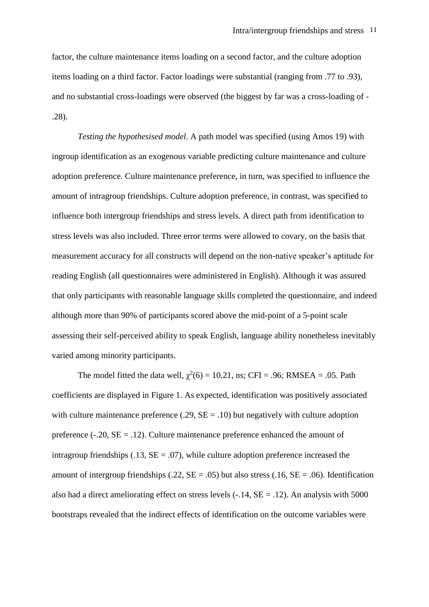factor, the culture maintenance items loading on a second factor, and the culture adoption items loading on a third factor. Factor loadings were substantial (ranging from .77 to .93), and no substantial cross-loadings were observed (the biggest by far was a cross-loading of - .28).

*Testing the hypothesised model*. A path model was specified (using Amos 19) with ingroup identification as an exogenous variable predicting culture maintenance and culture adoption preference. Culture maintenance preference, in turn, was specified to influence the amount of intragroup friendships. Culture adoption preference, in contrast, was specified to influence both intergroup friendships and stress levels. A direct path from identification to stress levels was also included. Three error terms were allowed to covary, on the basis that measurement accuracy for all constructs will depend on the non-native speaker's aptitude for reading English (all questionnaires were administered in English). Although it was assured that only participants with reasonable language skills completed the questionnaire, and indeed although more than 90% of participants scored above the mid-point of a 5-point scale assessing their self-perceived ability to speak English, language ability nonetheless inevitably varied among minority participants.

The model fitted the data well,  $\chi^2(6) = 10.21$ , ns; CFI = .96; RMSEA = .05. Path coefficients are displayed in Figure 1. As expected, identification was positively associated with culture maintenance preference  $(.29, SE = .10)$  but negatively with culture adoption preference  $(-.20, SE = .12)$ . Culture maintenance preference enhanced the amount of intragroup friendships  $(.13, SE = .07)$ , while culture adoption preference increased the amount of intergroup friendships (.22,  $SE = .05$ ) but also stress (.16,  $SE = .06$ ). Identification also had a direct ameliorating effect on stress levels  $(-.14, SE = .12)$ . An analysis with 5000 bootstraps revealed that the indirect effects of identification on the outcome variables were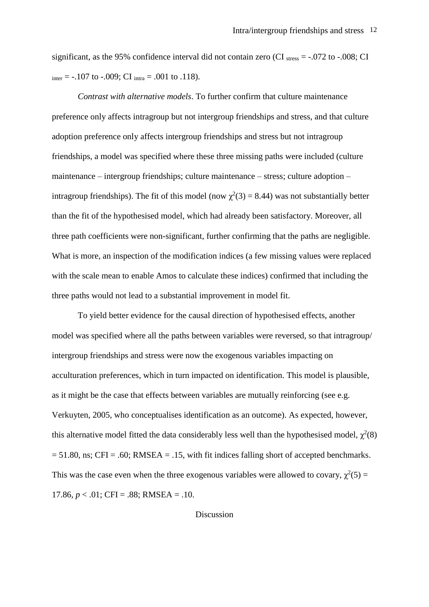significant, as the 95% confidence interval did not contain zero (CI stress  $=$  -.072 to -.008; CI inter =  $-.107$  to  $-.009$ ; CI intra =  $.001$  to  $.118$ ).

*Contrast with alternative models*. To further confirm that culture maintenance preference only affects intragroup but not intergroup friendships and stress, and that culture adoption preference only affects intergroup friendships and stress but not intragroup friendships, a model was specified where these three missing paths were included (culture maintenance – intergroup friendships; culture maintenance – stress; culture adoption – intragroup friendships). The fit of this model (now  $\chi^2(3) = 8.44$ ) was not substantially better than the fit of the hypothesised model, which had already been satisfactory. Moreover, all three path coefficients were non-significant, further confirming that the paths are negligible. What is more, an inspection of the modification indices (a few missing values were replaced with the scale mean to enable Amos to calculate these indices) confirmed that including the three paths would not lead to a substantial improvement in model fit.

To yield better evidence for the causal direction of hypothesised effects, another model was specified where all the paths between variables were reversed, so that intragroup/ intergroup friendships and stress were now the exogenous variables impacting on acculturation preferences, which in turn impacted on identification. This model is plausible, as it might be the case that effects between variables are mutually reinforcing (see e.g. Verkuyten, 2005, who conceptualises identification as an outcome). As expected, however, this alternative model fitted the data considerably less well than the hypothesised model,  $\chi^2(8)$  $= 51.80$ , ns; CFI = .60; RMSEA = .15, with fit indices falling short of accepted benchmarks. This was the case even when the three exogenous variables were allowed to covary,  $\chi^2(5)$  = 17.86,  $p < .01$ ; CFI = .88; RMSEA = .10.

Discussion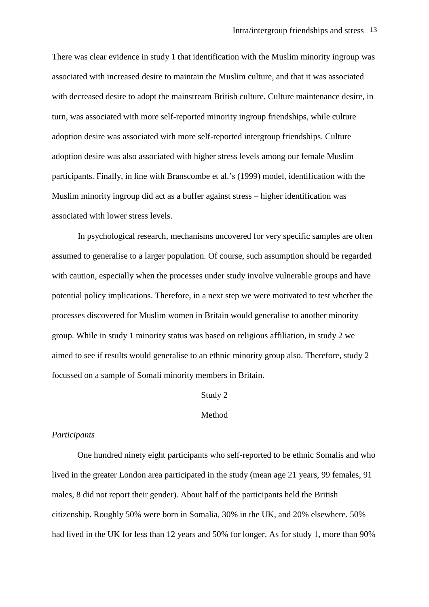There was clear evidence in study 1 that identification with the Muslim minority ingroup was associated with increased desire to maintain the Muslim culture, and that it was associated with decreased desire to adopt the mainstream British culture. Culture maintenance desire, in turn, was associated with more self-reported minority ingroup friendships, while culture adoption desire was associated with more self-reported intergroup friendships. Culture adoption desire was also associated with higher stress levels among our female Muslim participants. Finally, in line with Branscombe et al.'s (1999) model, identification with the Muslim minority ingroup did act as a buffer against stress – higher identification was associated with lower stress levels.

In psychological research, mechanisms uncovered for very specific samples are often assumed to generalise to a larger population. Of course, such assumption should be regarded with caution, especially when the processes under study involve vulnerable groups and have potential policy implications. Therefore, in a next step we were motivated to test whether the processes discovered for Muslim women in Britain would generalise to another minority group. While in study 1 minority status was based on religious affiliation, in study 2 we aimed to see if results would generalise to an ethnic minority group also. Therefore, study 2 focussed on a sample of Somali minority members in Britain.

#### Study 2

## Method

### *Participants*

One hundred ninety eight participants who self-reported to be ethnic Somalis and who lived in the greater London area participated in the study (mean age 21 years, 99 females, 91 males, 8 did not report their gender). About half of the participants held the British citizenship. Roughly 50% were born in Somalia, 30% in the UK, and 20% elsewhere. 50% had lived in the UK for less than 12 years and 50% for longer. As for study 1, more than 90%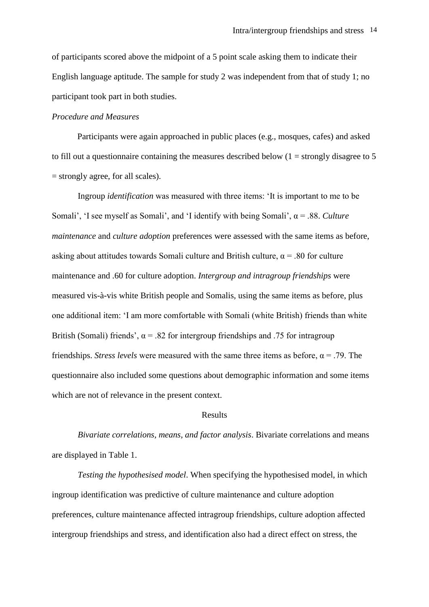of participants scored above the midpoint of a 5 point scale asking them to indicate their English language aptitude. The sample for study 2 was independent from that of study 1; no participant took part in both studies.

## *Procedure and Measures*

Participants were again approached in public places (e.g., mosques, cafes) and asked to fill out a questionnaire containing the measures described below  $(1 =$  strongly disagree to 5 = strongly agree, for all scales).

Ingroup *identification* was measured with three items: 'It is important to me to be Somali', 'I see myself as Somali', and 'I identify with being Somali', α = .88. *Culture maintenance* and *culture adoption* preferences were assessed with the same items as before, asking about attitudes towards Somali culture and British culture,  $\alpha$  = .80 for culture maintenance and .60 for culture adoption. *Intergroup and intragroup friendships* were measured vis-à-vis white British people and Somalis, using the same items as before, plus one additional item: 'I am more comfortable with Somali (white British) friends than white British (Somali) friends',  $\alpha$  = .82 for intergroup friendships and .75 for intragroup friendships. *Stress levels* were measured with the same three items as before,  $\alpha = .79$ . The questionnaire also included some questions about demographic information and some items which are not of relevance in the present context.

#### Results

*Bivariate correlations, means, and factor analysis*. Bivariate correlations and means are displayed in Table 1.

*Testing the hypothesised model*. When specifying the hypothesised model, in which ingroup identification was predictive of culture maintenance and culture adoption preferences, culture maintenance affected intragroup friendships, culture adoption affected intergroup friendships and stress, and identification also had a direct effect on stress, the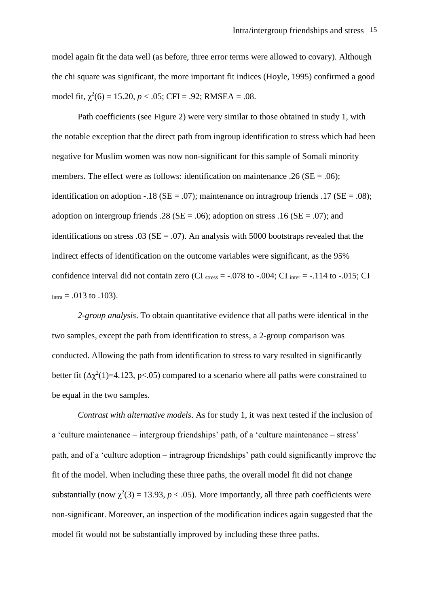model again fit the data well (as before, three error terms were allowed to covary). Although the chi square was significant, the more important fit indices (Hoyle, 1995) confirmed a good model fit,  $\chi^2(6) = 15.20, p < .05$ ; CFI = .92; RMSEA = .08.

Path coefficients (see Figure 2) were very similar to those obtained in study 1, with the notable exception that the direct path from ingroup identification to stress which had been negative for Muslim women was now non-significant for this sample of Somali minority members. The effect were as follows: identification on maintenance .26 ( $SE = .06$ ); identification on adoption -.18 ( $SE = .07$ ); maintenance on intragroup friends .17 ( $SE = .08$ ); adoption on intergroup friends .28 ( $SE = .06$ ); adoption on stress .16 ( $SE = .07$ ); and identifications on stress  $.03$  (SE =  $.07$ ). An analysis with 5000 bootstraps revealed that the indirect effects of identification on the outcome variables were significant, as the 95% confidence interval did not contain zero (CI stress  $=$  -.078 to -.004; CI inter  $=$  -.114 to -.015; CI  $_{\text{intra}} = .013$  to  $.103$ ).

*2-group analysis*. To obtain quantitative evidence that all paths were identical in the two samples, except the path from identification to stress, a 2-group comparison was conducted. Allowing the path from identification to stress to vary resulted in significantly better fit  $(\Delta \chi^2(1)=4.123, p<.05)$  compared to a scenario where all paths were constrained to be equal in the two samples.

*Contrast with alternative models*. As for study 1, it was next tested if the inclusion of a 'culture maintenance – intergroup friendships' path, of a 'culture maintenance – stress' path, and of a 'culture adoption – intragroup friendships' path could significantly improve the fit of the model. When including these three paths, the overall model fit did not change substantially (now  $\chi^2(3) = 13.93$ ,  $p < .05$ ). More importantly, all three path coefficients were non-significant. Moreover, an inspection of the modification indices again suggested that the model fit would not be substantially improved by including these three paths.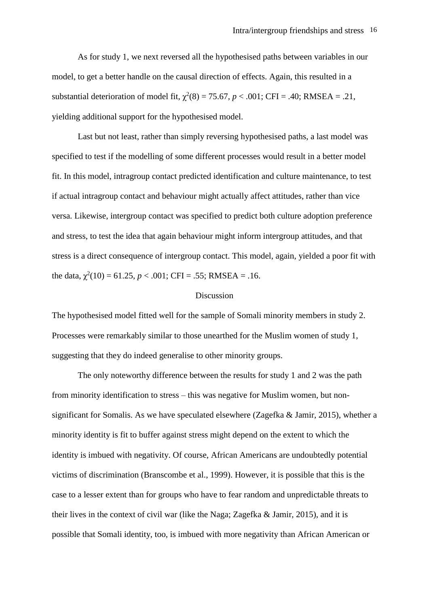As for study 1, we next reversed all the hypothesised paths between variables in our model, to get a better handle on the causal direction of effects. Again, this resulted in a substantial deterioration of model fit,  $\chi^2(8) = 75.67$ ,  $p < .001$ ; CFI = .40; RMSEA = .21, yielding additional support for the hypothesised model.

Last but not least, rather than simply reversing hypothesised paths, a last model was specified to test if the modelling of some different processes would result in a better model fit. In this model, intragroup contact predicted identification and culture maintenance, to test if actual intragroup contact and behaviour might actually affect attitudes, rather than vice versa. Likewise, intergroup contact was specified to predict both culture adoption preference and stress, to test the idea that again behaviour might inform intergroup attitudes, and that stress is a direct consequence of intergroup contact. This model, again, yielded a poor fit with the data,  $\chi^2(10) = 61.25$ ,  $p < .001$ ; CFI = .55; RMSEA = .16.

## Discussion

The hypothesised model fitted well for the sample of Somali minority members in study 2. Processes were remarkably similar to those unearthed for the Muslim women of study 1, suggesting that they do indeed generalise to other minority groups.

The only noteworthy difference between the results for study 1 and 2 was the path from minority identification to stress – this was negative for Muslim women, but nonsignificant for Somalis. As we have speculated elsewhere (Zagefka & Jamir, 2015), whether a minority identity is fit to buffer against stress might depend on the extent to which the identity is imbued with negativity. Of course, African Americans are undoubtedly potential victims of discrimination (Branscombe et al., 1999). However, it is possible that this is the case to a lesser extent than for groups who have to fear random and unpredictable threats to their lives in the context of civil war (like the Naga; Zagefka & Jamir, 2015), and it is possible that Somali identity, too, is imbued with more negativity than African American or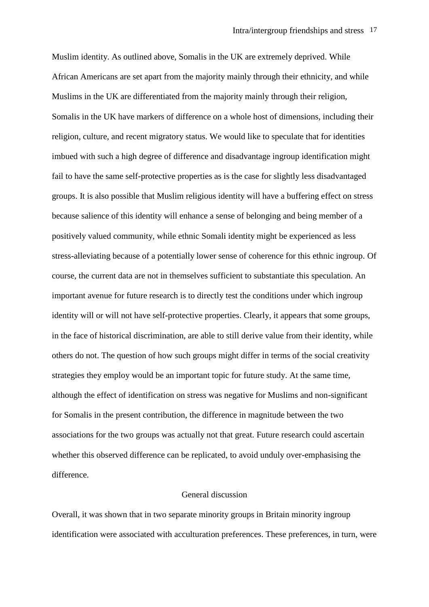Muslim identity. As outlined above, Somalis in the UK are extremely deprived. While African Americans are set apart from the majority mainly through their ethnicity, and while Muslims in the UK are differentiated from the majority mainly through their religion, Somalis in the UK have markers of difference on a whole host of dimensions, including their religion, culture, and recent migratory status. We would like to speculate that for identities imbued with such a high degree of difference and disadvantage ingroup identification might fail to have the same self-protective properties as is the case for slightly less disadvantaged groups. It is also possible that Muslim religious identity will have a buffering effect on stress because salience of this identity will enhance a sense of belonging and being member of a positively valued community, while ethnic Somali identity might be experienced as less stress-alleviating because of a potentially lower sense of coherence for this ethnic ingroup. Of course, the current data are not in themselves sufficient to substantiate this speculation. An important avenue for future research is to directly test the conditions under which ingroup identity will or will not have self-protective properties. Clearly, it appears that some groups, in the face of historical discrimination, are able to still derive value from their identity, while others do not. The question of how such groups might differ in terms of the social creativity strategies they employ would be an important topic for future study. At the same time, although the effect of identification on stress was negative for Muslims and non-significant for Somalis in the present contribution, the difference in magnitude between the two associations for the two groups was actually not that great. Future research could ascertain whether this observed difference can be replicated, to avoid unduly over-emphasising the difference.

## General discussion

Overall, it was shown that in two separate minority groups in Britain minority ingroup identification were associated with acculturation preferences. These preferences, in turn, were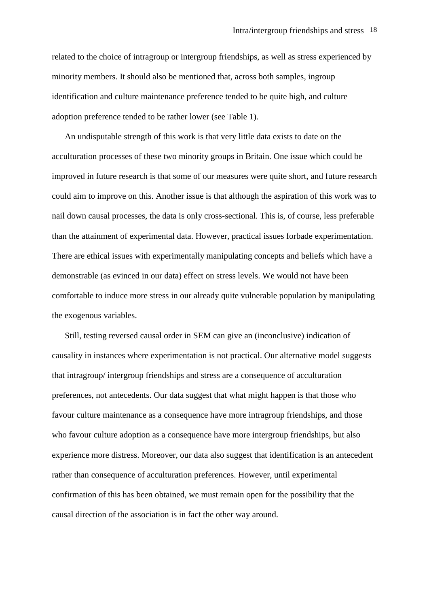related to the choice of intragroup or intergroup friendships, as well as stress experienced by minority members. It should also be mentioned that, across both samples, ingroup identification and culture maintenance preference tended to be quite high, and culture adoption preference tended to be rather lower (see Table 1).

An undisputable strength of this work is that very little data exists to date on the acculturation processes of these two minority groups in Britain. One issue which could be improved in future research is that some of our measures were quite short, and future research could aim to improve on this. Another issue is that although the aspiration of this work was to nail down causal processes, the data is only cross-sectional. This is, of course, less preferable than the attainment of experimental data. However, practical issues forbade experimentation. There are ethical issues with experimentally manipulating concepts and beliefs which have a demonstrable (as evinced in our data) effect on stress levels. We would not have been comfortable to induce more stress in our already quite vulnerable population by manipulating the exogenous variables.

Still, testing reversed causal order in SEM can give an (inconclusive) indication of causality in instances where experimentation is not practical. Our alternative model suggests that intragroup/ intergroup friendships and stress are a consequence of acculturation preferences, not antecedents. Our data suggest that what might happen is that those who favour culture maintenance as a consequence have more intragroup friendships, and those who favour culture adoption as a consequence have more intergroup friendships, but also experience more distress. Moreover, our data also suggest that identification is an antecedent rather than consequence of acculturation preferences. However, until experimental confirmation of this has been obtained, we must remain open for the possibility that the causal direction of the association is in fact the other way around.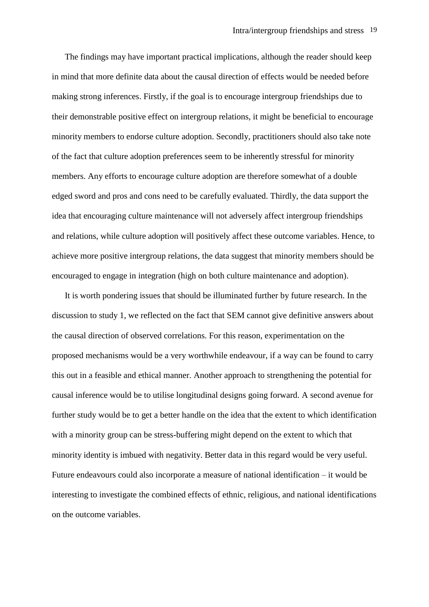The findings may have important practical implications, although the reader should keep in mind that more definite data about the causal direction of effects would be needed before making strong inferences. Firstly, if the goal is to encourage intergroup friendships due to their demonstrable positive effect on intergroup relations, it might be beneficial to encourage minority members to endorse culture adoption. Secondly, practitioners should also take note of the fact that culture adoption preferences seem to be inherently stressful for minority members. Any efforts to encourage culture adoption are therefore somewhat of a double edged sword and pros and cons need to be carefully evaluated. Thirdly, the data support the idea that encouraging culture maintenance will not adversely affect intergroup friendships and relations, while culture adoption will positively affect these outcome variables. Hence, to achieve more positive intergroup relations, the data suggest that minority members should be encouraged to engage in integration (high on both culture maintenance and adoption).

It is worth pondering issues that should be illuminated further by future research. In the discussion to study 1, we reflected on the fact that SEM cannot give definitive answers about the causal direction of observed correlations. For this reason, experimentation on the proposed mechanisms would be a very worthwhile endeavour, if a way can be found to carry this out in a feasible and ethical manner. Another approach to strengthening the potential for causal inference would be to utilise longitudinal designs going forward. A second avenue for further study would be to get a better handle on the idea that the extent to which identification with a minority group can be stress-buffering might depend on the extent to which that minority identity is imbued with negativity. Better data in this regard would be very useful. Future endeavours could also incorporate a measure of national identification – it would be interesting to investigate the combined effects of ethnic, religious, and national identifications on the outcome variables.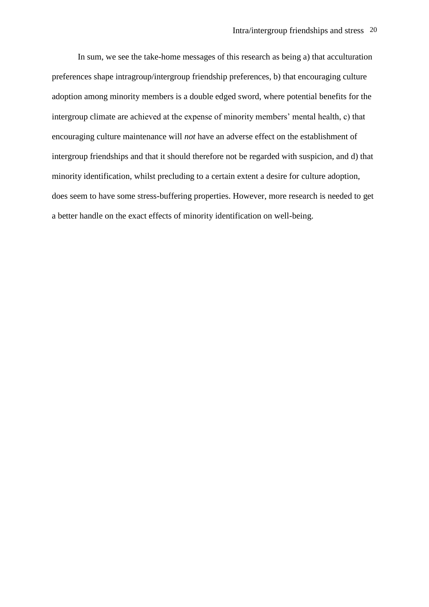In sum, we see the take-home messages of this research as being a) that acculturation preferences shape intragroup/intergroup friendship preferences, b) that encouraging culture adoption among minority members is a double edged sword, where potential benefits for the intergroup climate are achieved at the expense of minority members' mental health, c) that encouraging culture maintenance will *not* have an adverse effect on the establishment of intergroup friendships and that it should therefore not be regarded with suspicion, and d) that minority identification, whilst precluding to a certain extent a desire for culture adoption, does seem to have some stress-buffering properties. However, more research is needed to get a better handle on the exact effects of minority identification on well-being.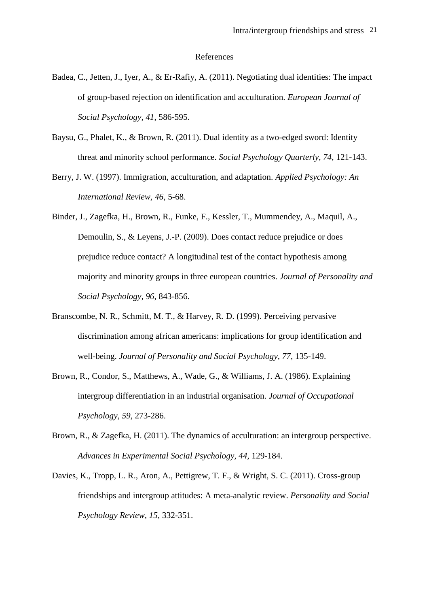#### References

- Badea, C., Jetten, J., Iyer, A., & Er‐Rafiy, A. (2011). Negotiating dual identities: The impact of group‐based rejection on identification and acculturation. *European Journal of Social Psychology, 41*, 586-595.
- Baysu, G., Phalet, K., & Brown, R. (2011). Dual identity as a two-edged sword: Identity threat and minority school performance. *Social Psychology Quarterly, 74*, 121-143.
- Berry, J. W. (1997). Immigration, acculturation, and adaptation. *Applied Psychology: An International Review, 46*, 5-68.
- Binder, J., Zagefka, H., Brown, R., Funke, F., Kessler, T., Mummendey, A., Maquil, A., Demoulin, S., & Leyens, J.-P. (2009). Does contact reduce prejudice or does prejudice reduce contact? A longitudinal test of the contact hypothesis among majority and minority groups in three european countries. *Journal of Personality and Social Psychology, 96*, 843-856.
- Branscombe, N. R., Schmitt, M. T., & Harvey, R. D. (1999). Perceiving pervasive discrimination among african americans: implications for group identification and well-being. *Journal of Personality and Social Psychology, 77*, 135-149.
- Brown, R., Condor, S., Matthews, A., Wade, G., & Williams, J. A. (1986). Explaining intergroup differentiation in an industrial organisation. *Journal of Occupational Psychology, 59*, 273-286.
- Brown, R., & Zagefka, H. (2011). The dynamics of acculturation: an intergroup perspective. *Advances in Experimental Social Psychology, 44*, 129-184.
- Davies, K., Tropp, L. R., Aron, A., Pettigrew, T. F., & Wright, S. C. (2011). Cross-group friendships and intergroup attitudes: A meta-analytic review. *Personality and Social Psychology Review, 15*, 332-351.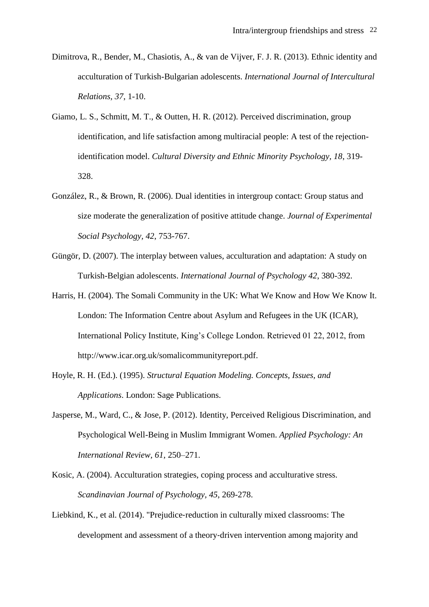- Dimitrova, R., Bender, M., Chasiotis, A., & van de Vijver, F. J. R. (2013). Ethnic identity and acculturation of Turkish-Bulgarian adolescents. *International Journal of Intercultural Relations, 37*, 1-10.
- Giamo, L. S., Schmitt, M. T., & Outten, H. R. (2012). Perceived discrimination, group identification, and life satisfaction among multiracial people: A test of the rejectionidentification model. *Cultural Diversity and Ethnic Minority Psychology, 18*, 319- 328.
- González, R., & Brown, R. (2006). Dual identities in intergroup contact: Group status and size moderate the generalization of positive attitude change. *Journal of Experimental Social Psychology, 42*, 753-767.
- Güngör, D. (2007). The interplay between values, acculturation and adaptation: A study on Turkish-Belgian adolescents. *International Journal of Psychology 42*, 380-392.
- Harris, H. (2004). The Somali Community in the UK: What We Know and How We Know It. London: The Information Centre about Asylum and Refugees in the UK (ICAR), International Policy Institute, King's College London. Retrieved 01 22, 2012, from http://www.icar.org.uk/somalicommunityreport.pdf.
- Hoyle, R. H. (Ed.). (1995). *Structural Equation Modeling. Concepts, Issues, and Applications*. London: Sage Publications.
- Jasperse, M., Ward, C., & Jose, P. (2012). Identity, Perceived Religious Discrimination, and Psychological Well-Being in Muslim Immigrant Women. *Applied Psychology: An International Review, 61*, 250–271.
- Kosic, A. (2004). Acculturation strategies, coping process and acculturative stress. *Scandinavian Journal of Psychology, 45*, 269-278.
- Liebkind, K., et al. (2014). "Prejudice‐reduction in culturally mixed classrooms: The development and assessment of a theory‐driven intervention among majority and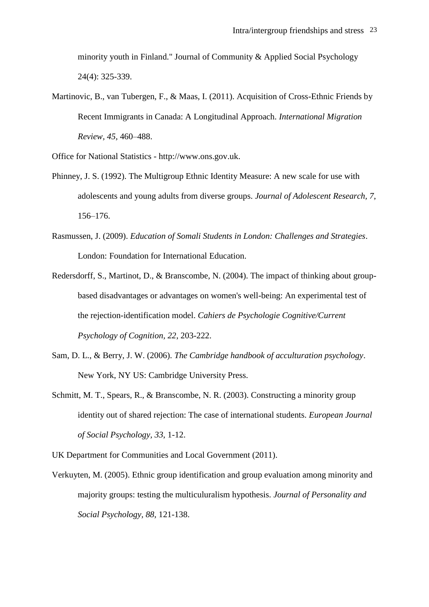minority youth in Finland." Journal of Community & Applied Social Psychology 24(4): 325-339.

Martinovic, B., van Tubergen, F., & Maas, I. (2011). Acquisition of Cross-Ethnic Friends by Recent Immigrants in Canada: A Longitudinal Approach. *International Migration Review, 45,* 460–488.

Office for National Statistics - http://www.ons.gov.uk.

- Phinney, J. S. (1992). The Multigroup Ethnic Identity Measure: A new scale for use with adolescents and young adults from diverse groups. *Journal of Adolescent Research, 7*, 156–176.
- Rasmussen, J. (2009). *Education of Somali Students in London: Challenges and Strategies*. London: Foundation for International Education.
- Redersdorff, S., Martinot, D., & Branscombe, N. (2004). The impact of thinking about groupbased disadvantages or advantages on women's well-being: An experimental test of the rejection-identification model. *Cahiers de Psychologie Cognitive/Current Psychology of Cognition, 22*, 203-222.
- Sam, D. L., & Berry, J. W. (2006). *The Cambridge handbook of acculturation psychology*. New York, NY US: Cambridge University Press.
- Schmitt, M. T., Spears, R., & Branscombe, N. R. (2003). Constructing a minority group identity out of shared rejection: The case of international students. *European Journal of Social Psychology, 33*, 1-12.

UK Department for Communities and Local Government (2011).

Verkuyten, M. (2005). Ethnic group identification and group evaluation among minority and majority groups: testing the multiculuralism hypothesis. *Journal of Personality and Social Psychology, 88*, 121-138.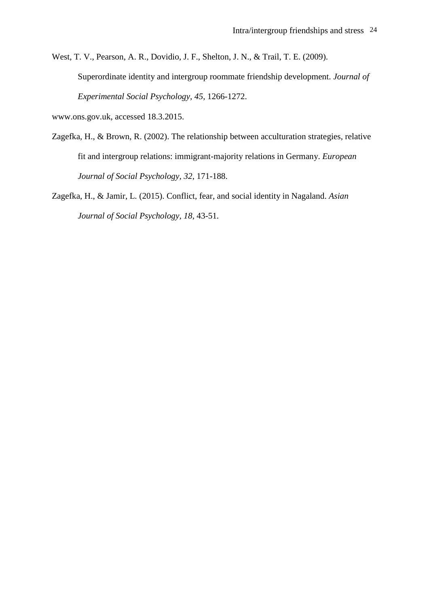West, T. V., Pearson, A. R., Dovidio, J. F., Shelton, J. N., & Trail, T. E. (2009). Superordinate identity and intergroup roommate friendship development. *Journal of Experimental Social Psychology, 45*, 1266-1272.

[www.ons.gov.uk,](http://www.ons.gov.uk/) accessed 18.3.2015.

- Zagefka, H., & Brown, R. (2002). The relationship between acculturation strategies, relative fit and intergroup relations: immigrant-majority relations in Germany. *European Journal of Social Psychology, 32*, 171-188.
- Zagefka, H., & Jamir, L. (2015). Conflict, fear, and social identity in Nagaland. *Asian Journal of Social Psychology, 18,* 43-51*.*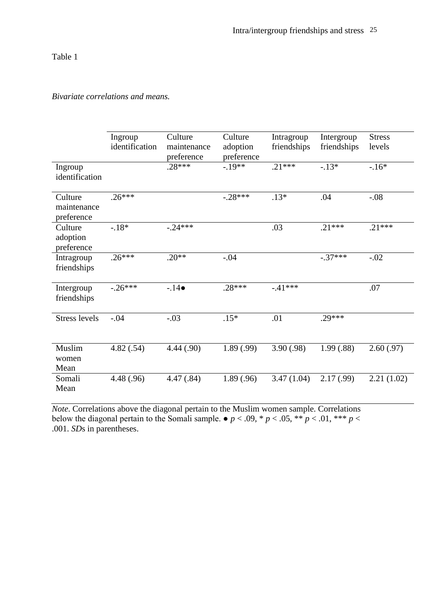Table 1

## *Bivariate correlations and means.*

|                                      | Ingroup<br>identification | Culture<br>maintenance | Culture<br>adoption | Intragroup<br>friendships | Intergroup<br>friendships | <b>Stress</b><br>levels |
|--------------------------------------|---------------------------|------------------------|---------------------|---------------------------|---------------------------|-------------------------|
|                                      |                           | preference             | preference          |                           |                           |                         |
| Ingroup<br>identification            |                           | $.28***$               | $-.19**$            | $.21***$                  | $-13*$                    | $-.16*$                 |
| Culture<br>maintenance<br>preference | $.26***$                  |                        | $-.28***$           | $.13*$                    | .04                       | $-.08$                  |
| Culture<br>adoption<br>preference    | $-.18*$                   | $-.24***$              |                     | .03                       | $.21***$                  | $.21***$                |
| Intragroup<br>friendships            | $.26***$                  | $.20**$                | $-.04$              |                           | $-.37***$                 | $-.02$                  |
| Intergroup<br>friendships            | $-.26***$                 | $-14\bullet$           | $.28***$            | $-41***$                  |                           | .07                     |
| <b>Stress levels</b>                 | $-.04$                    | $-.03$                 | $.15*$              | .01                       | .29***                    |                         |
| Muslim<br>women<br>Mean              | 4.82(.54)                 | 4.44 (.90)             | 1.89(.99)           | 3.90(.98)                 | 1.99(.88)                 | 2.60(.97)               |
| Somali<br>Mean                       | 4.48 (.96)                | 4.47 (.84)             | 1.89(.96)           | 3.47(1.04)                | 2.17(0.99)                | 2.21(1.02)              |

*Note*. Correlations above the diagonal pertain to the Muslim women sample. Correlations below the diagonal pertain to the Somali sample.  $\bullet$  *p* < .09, \* *p* < .05, \*\* *p* < .01, \*\*\* *p* < .001. *SD*s in parentheses.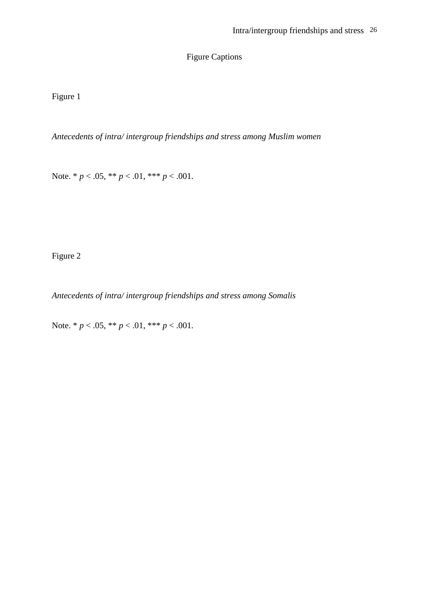Figure Captions

Figure 1

*Antecedents of intra/ intergroup friendships and stress among Muslim women*

Note. \* *p* < .05, \*\* *p* < .01, \*\*\* *p* < .001.

Figure 2

*Antecedents of intra/ intergroup friendships and stress among Somalis*

Note. \* *p* < .05, \*\* *p* < .01, \*\*\* *p* < .001.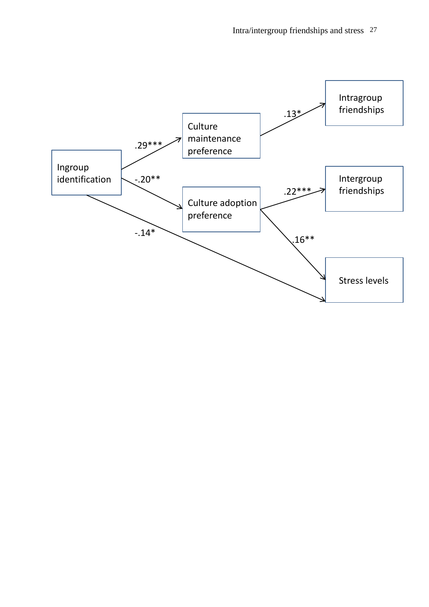